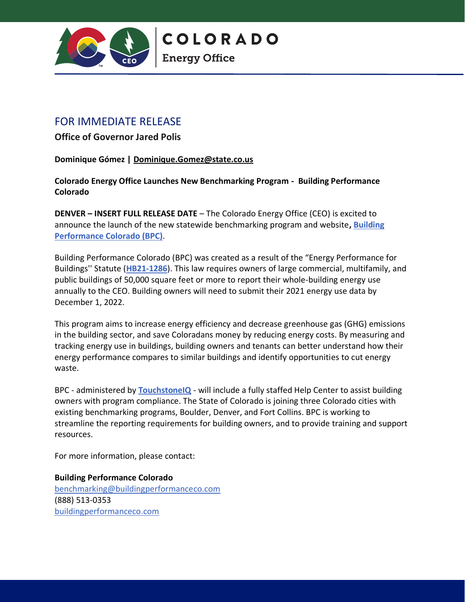

**COLORADO** 

**Energy Office** 

## FOR IMMEDIATE RELEASE

**Office of Governor Jared Polis**

**Dominique Gómez | [Dominique.Gomez@state.co.us](https://em-ui.constantcontact.com/em-ui/em/page/em-ui/email)**

**Colorado Energy Office Launches New Benchmarking Program - Building Performance Colorado**

**DENVER – INSERT FULL RELEASE DATE** – The Colorado Energy Office (CEO) is excited to announce the launch of the new statewide benchmarking program and website**, [Building](http://buildingperformanceco.com/)  [Performance Colorado \(BPC\)](http://buildingperformanceco.com/)**.

Building Performance Colorado (BPC) was created as a result of the "Energy Performance for Buildings'' Statute (**[HB21-1286](https://leg.colorado.gov/bills/hb21-1286#:~:text=The%20act%20establishes%20a%20process,by%20the%20covered%20building%20owner.)**). This law requires owners of large commercial, multifamily, and public buildings of 50,000 square feet or more to report their whole-building energy use annually to the CEO. Building owners will need to submit their 2021 energy use data by December 1, 2022.

This program aims to increase energy efficiency and decrease greenhouse gas (GHG) emissions in the building sector, and save Coloradans money by reducing energy costs. By measuring and tracking energy use in buildings, building owners and tenants can better understand how their energy performance compares to similar buildings and identify opportunities to cut energy waste.

BPC - administered by **[TouchstoneIQ](https://touchstoneiq.com/)** - will include a fully staffed Help Center to assist building owners with program compliance. The State of Colorado is joining three Colorado cities with existing benchmarking programs, Boulder, Denver, and Fort Collins. BPC is working to streamline the reporting requirements for building owners, and to provide training and support resources.

For more information, please contact:

**Building Performance Colorado** benchmarking@buildingperformanceco.com (888) 513-0353 [buildingperformanceco.com](https://www.buildingperformanceco.com/)